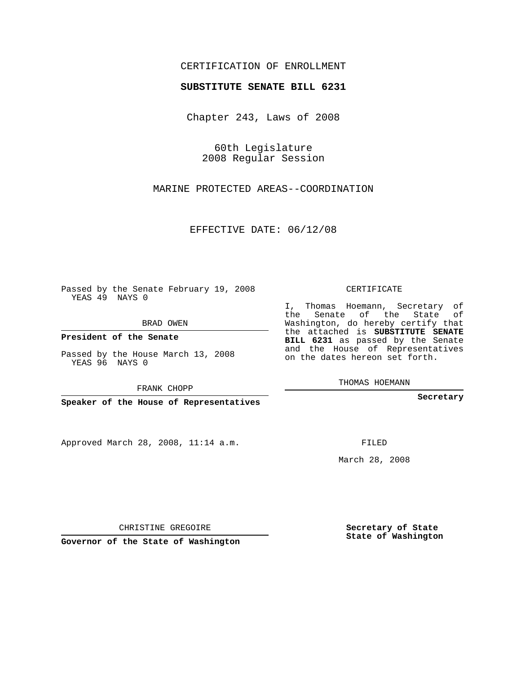## CERTIFICATION OF ENROLLMENT

## **SUBSTITUTE SENATE BILL 6231**

Chapter 243, Laws of 2008

60th Legislature 2008 Regular Session

MARINE PROTECTED AREAS--COORDINATION

EFFECTIVE DATE: 06/12/08

Passed by the Senate February 19, 2008 YEAS 49 NAYS 0

BRAD OWEN

**President of the Senate**

Passed by the House March 13, 2008 YEAS 96 NAYS 0

FRANK CHOPP

**Speaker of the House of Representatives**

Approved March 28, 2008, 11:14 a.m.

CERTIFICATE

I, Thomas Hoemann, Secretary of the Senate of the State of Washington, do hereby certify that the attached is **SUBSTITUTE SENATE BILL 6231** as passed by the Senate and the House of Representatives on the dates hereon set forth.

THOMAS HOEMANN

**Secretary**

FILED

March 28, 2008

**Secretary of State State of Washington**

CHRISTINE GREGOIRE

**Governor of the State of Washington**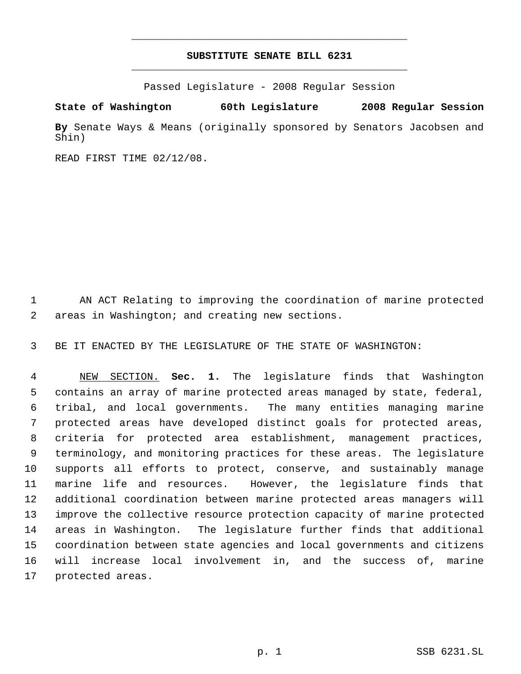## **SUBSTITUTE SENATE BILL 6231** \_\_\_\_\_\_\_\_\_\_\_\_\_\_\_\_\_\_\_\_\_\_\_\_\_\_\_\_\_\_\_\_\_\_\_\_\_\_\_\_\_\_\_\_\_

\_\_\_\_\_\_\_\_\_\_\_\_\_\_\_\_\_\_\_\_\_\_\_\_\_\_\_\_\_\_\_\_\_\_\_\_\_\_\_\_\_\_\_\_\_

Passed Legislature - 2008 Regular Session

**State of Washington 60th Legislature 2008 Regular Session By** Senate Ways & Means (originally sponsored by Senators Jacobsen and Shin)

READ FIRST TIME 02/12/08.

 AN ACT Relating to improving the coordination of marine protected areas in Washington; and creating new sections.

BE IT ENACTED BY THE LEGISLATURE OF THE STATE OF WASHINGTON:

 NEW SECTION. **Sec. 1.** The legislature finds that Washington contains an array of marine protected areas managed by state, federal, tribal, and local governments. The many entities managing marine protected areas have developed distinct goals for protected areas, criteria for protected area establishment, management practices, terminology, and monitoring practices for these areas. The legislature supports all efforts to protect, conserve, and sustainably manage marine life and resources. However, the legislature finds that additional coordination between marine protected areas managers will improve the collective resource protection capacity of marine protected areas in Washington. The legislature further finds that additional coordination between state agencies and local governments and citizens will increase local involvement in, and the success of, marine protected areas.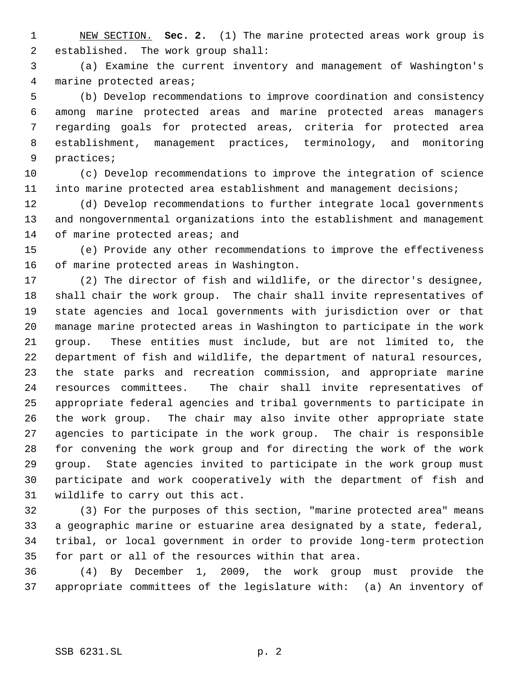NEW SECTION. **Sec. 2.** (1) The marine protected areas work group is established. The work group shall:

 (a) Examine the current inventory and management of Washington's marine protected areas;

 (b) Develop recommendations to improve coordination and consistency among marine protected areas and marine protected areas managers regarding goals for protected areas, criteria for protected area establishment, management practices, terminology, and monitoring practices;

 (c) Develop recommendations to improve the integration of science into marine protected area establishment and management decisions;

 (d) Develop recommendations to further integrate local governments and nongovernmental organizations into the establishment and management 14 of marine protected areas; and

 (e) Provide any other recommendations to improve the effectiveness of marine protected areas in Washington.

 (2) The director of fish and wildlife, or the director's designee, shall chair the work group. The chair shall invite representatives of state agencies and local governments with jurisdiction over or that manage marine protected areas in Washington to participate in the work group. These entities must include, but are not limited to, the department of fish and wildlife, the department of natural resources, the state parks and recreation commission, and appropriate marine resources committees. The chair shall invite representatives of appropriate federal agencies and tribal governments to participate in the work group. The chair may also invite other appropriate state agencies to participate in the work group. The chair is responsible for convening the work group and for directing the work of the work group. State agencies invited to participate in the work group must participate and work cooperatively with the department of fish and wildlife to carry out this act.

 (3) For the purposes of this section, "marine protected area" means a geographic marine or estuarine area designated by a state, federal, tribal, or local government in order to provide long-term protection for part or all of the resources within that area.

 (4) By December 1, 2009, the work group must provide the appropriate committees of the legislature with: (a) An inventory of